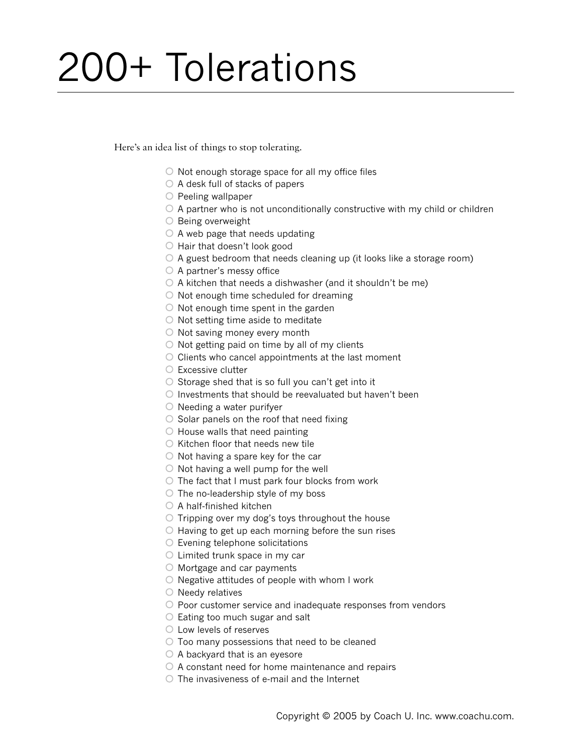## 200+ Tolerations

Here's an idea list of things to stop tolerating.

- $\circ$  Not enough storage space for all my office files
- $\circ$  A desk full of stacks of papers
- $\circ$  Peeling wallpaper
- $\circ$  A partner who is not unconditionally constructive with my child or children
- $\circ$  Being overweight
- $\circ$  A web page that needs updating
- O Hair that doesn't look good
- $\circ$  A guest bedroom that needs cleaning up (it looks like a storage room)
- $\circ$  A partner's messy office
- $\bigcirc$  A kitchen that needs a dishwasher (and it shouldn't be me)
- $\circ$  Not enough time scheduled for dreaming
- $\circ$  Not enough time spent in the garden
- $\circ$  Not setting time aside to meditate
- $\circ$  Not saving money every month
- $\circ$  Not getting paid on time by all of my clients
- $\circ$  Clients who cancel appointments at the last moment
- $\circ$  Excessive clutter
- $\circ$  Storage shed that is so full you can't get into it
- $\circ$  Investments that should be reevaluated but haven't been
- $\circ$  Needing a water purifyer
- $\circ$  Solar panels on the roof that need fixing
- $\bigcirc$  House walls that need painting
- $\circ$  Kitchen floor that needs new tile
- $\circ$  Not having a spare key for the car
- $\circ$  Not having a well pump for the well
- $\circ$  The fact that I must park four blocks from work
- $\circ$  The no-leadership style of my boss
- $\bigcirc$  A half-finished kitchen
- $\circ$  Tripping over my dog's toys throughout the house
- $\circ$  Having to get up each morning before the sun rises
- $\circ$  Evening telephone solicitations
- $\circ$  Limited trunk space in my car
- $\circ$  Mortgage and car payments
- $\circ$  Negative attitudes of people with whom I work
- $\circ$  Needy relatives
- $\circ$  Poor customer service and inadequate responses from vendors
- $\circ$  Eating too much sugar and salt
- Low levels of reserves
- $\circ$  Too many possessions that need to be cleaned
- $\bigcirc$  A backyard that is an eyesore
- $\circ$  A constant need for home maintenance and repairs
- $\circ$  The invasiveness of e-mail and the Internet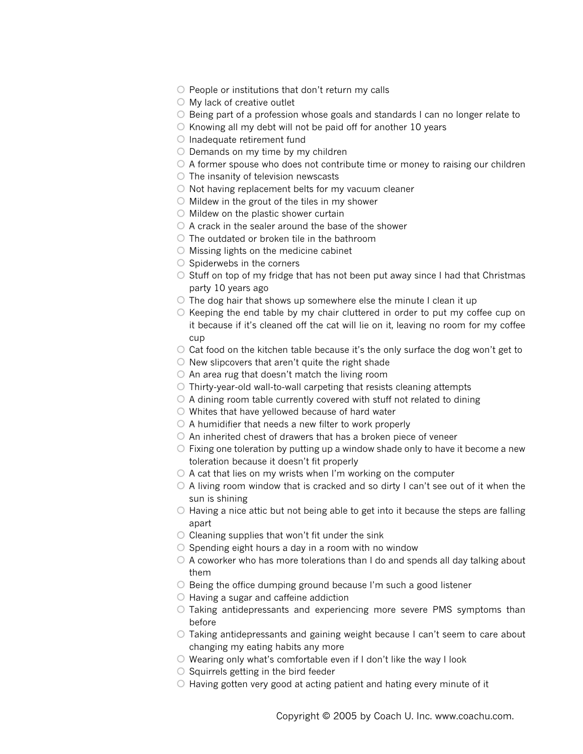- $\bigcirc$  People or institutions that don't return my calls
- $\circ$  My lack of creative outlet
- $\circ$  Being part of a profession whose goals and standards I can no longer relate to
- $\circ$  Knowing all my debt will not be paid off for another 10 years
- $\circ$  Inadequate retirement fund
- $\circ$  Demands on my time by my children
- $\circ$  A former spouse who does not contribute time or money to raising our children
- $\circ$  The insanity of television newscasts
- $\circ$  Not having replacement belts for my vacuum cleaner
- $\circ$  Mildew in the grout of the tiles in my shower
- $\circ$  Mildew on the plastic shower curtain
- $\circ$  A crack in the sealer around the base of the shower
- $\circ$  The outdated or broken tile in the bathroom
- $\circ$  Missing lights on the medicine cabinet
- $\circ$  Spiderwebs in the corners
- $\circ$  Stuff on top of my fridge that has not been put away since I had that Christmas party 10 years ago
- $\circ$  The dog hair that shows up somewhere else the minute I clean it up
- $\circ$  Keeping the end table by my chair cluttered in order to put my coffee cup on it because if it's cleaned off the cat will lie on it, leaving no room for my coffee cup
- O Cat food on the kitchen table because it's the only surface the dog won't get to
- $\circ$  New slipcovers that aren't quite the right shade
- $\circ$  An area rug that doesn't match the living room
- $\circ$  Thirty-year-old wall-to-wall carpeting that resists cleaning attempts
- $\circ$  A dining room table currently covered with stuff not related to dining
- Whites that have yellowed because of hard water
- $\circ$  A humidifier that needs a new filter to work properly
- $\circ$  An inherited chest of drawers that has a broken piece of veneer
- $\circ$  Fixing one toleration by putting up a window shade only to have it become a new toleration because it doesn't fit properly
- $\circ$  A cat that lies on my wrists when I'm working on the computer
- $\circ$  A living room window that is cracked and so dirty I can't see out of it when the sun is shining
- $\circ$  Having a nice attic but not being able to get into it because the steps are falling apart
- $\circ$  Cleaning supplies that won't fit under the sink
- $\circ$  Spending eight hours a day in a room with no window
- $\circ$  A coworker who has more tolerations than I do and spends all day talking about them
- $\circ$  Being the office dumping ground because I'm such a good listener
- $\circ$  Having a sugar and caffeine addiction
- $\circ$  Taking antidepressants and experiencing more severe PMS symptoms than before
- $\circ$  Taking antidepressants and gaining weight because I can't seem to care about changing my eating habits any more
- Wearing only what's comfortable even if I don't like the way I look
- $\circ$  Squirrels getting in the bird feeder
- $\circ$  Having gotten very good at acting patient and hating every minute of it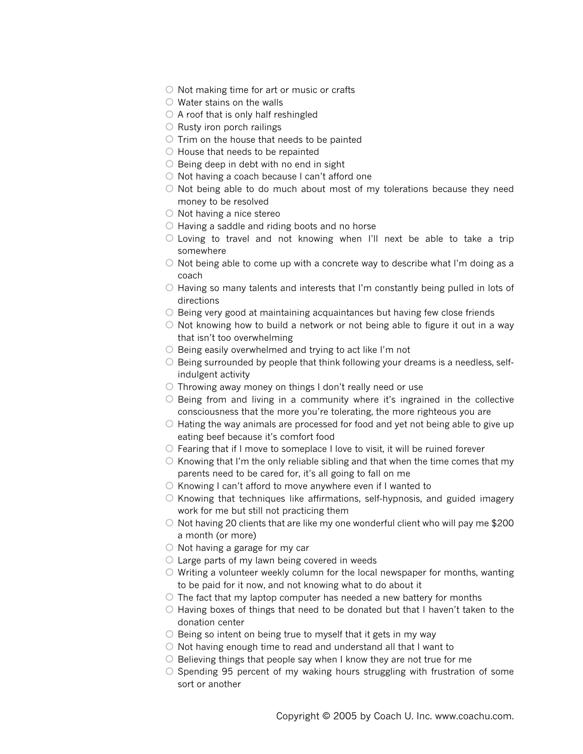- $\circ$  Not making time for art or music or crafts
- $\circ$  Water stains on the walls
- $\bigcirc$  A roof that is only half reshingled
- $\circ$  Rusty iron porch railings
- $\circ$  Trim on the house that needs to be painted
- $\bigcirc$  House that needs to be repainted
- $\circ$  Being deep in debt with no end in sight
- $\circ$  Not having a coach because I can't afford one
- $\circ$  Not being able to do much about most of my tolerations because they need money to be resolved
- $\circ$  Not having a nice stereo
- $\circ$  Having a saddle and riding boots and no horse
- $\circ$  Loving to travel and not knowing when I'll next be able to take a trip somewhere
- $\circ$  Not being able to come up with a concrete way to describe what I'm doing as a coach
- $\bigcirc$  Having so many talents and interests that I'm constantly being pulled in lots of directions
- O Being very good at maintaining acquaintances but having few close friends
- $\circ$  Not knowing how to build a network or not being able to figure it out in a way that isn't too overwhelming
- $\circ$  Being easily overwhelmed and trying to act like I'm not
- $\circ$  Being surrounded by people that think following your dreams is a needless, selfindulgent activity
- Throwing away money on things I don't really need or use
- $\circ$  Being from and living in a community where it's ingrained in the collective consciousness that the more you're tolerating, the more righteous you are
- $\circ$  Hating the way animals are processed for food and yet not being able to give up eating beef because it's comfort food
- Fearing that if I move to someplace I love to visit, it will be ruined forever
- $\circ$  Knowing that I'm the only reliable sibling and that when the time comes that my parents need to be cared for, it's all going to fall on me
- $\circ$  Knowing I can't afford to move anywhere even if I wanted to
- $\circ$  Knowing that techniques like affirmations, self-hypnosis, and guided imagery work for me but still not practicing them
- O Not having 20 clients that are like my one wonderful client who will pay me \$200 a month (or more)
- $\circ$  Not having a garage for my car
- Large parts of my lawn being covered in weeds
- $\circ$  Writing a volunteer weekly column for the local newspaper for months, wanting to be paid for it now, and not knowing what to do about it
- $\circ$  The fact that my laptop computer has needed a new battery for months
- $\circ$  Having boxes of things that need to be donated but that I haven't taken to the donation center
- $\circ$  Being so intent on being true to myself that it gets in my way
- $\circ$  Not having enough time to read and understand all that I want to
- $\circ$  Believing things that people say when I know they are not true for me
- $\circ$  Spending 95 percent of my waking hours struggling with frustration of some sort or another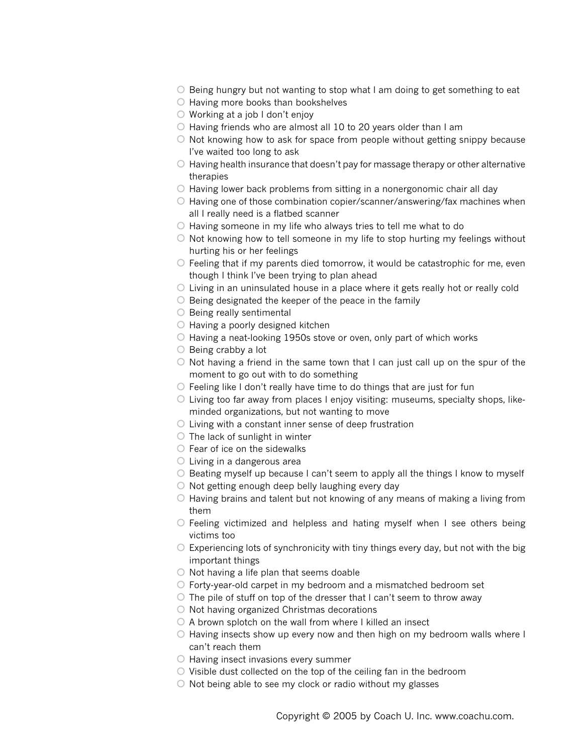- $\circ$  Being hungry but not wanting to stop what I am doing to get something to eat
- $\circ$  Having more books than bookshelves
- Working at a job I don't enjoy
- $\circ$  Having friends who are almost all 10 to 20 years older than I am
- $\circ$  Not knowing how to ask for space from people without getting snippy because I've waited too long to ask
- $\circ$  Having health insurance that doesn't pay for massage therapy or other alternative therapies
- $\circ$  Having lower back problems from sitting in a nonergonomic chair all day
- $\circ$  Having one of those combination copier/scanner/answering/fax machines when all I really need is a flatbed scanner
- $\circ$  Having someone in my life who always tries to tell me what to do
- $\circ$  Not knowing how to tell someone in my life to stop hurting my feelings without hurting his or her feelings
- $\circ$  Feeling that if my parents died tomorrow, it would be catastrophic for me, even though I think I've been trying to plan ahead
- Living in an uninsulated house in a place where it gets really hot or really cold
- $\circ$  Being designated the keeper of the peace in the family
- $\circ$  Being really sentimental
- $\bigcirc$  Having a poorly designed kitchen
- $\circ$  Having a neat-looking 1950s stove or oven, only part of which works
- $\circ$  Being crabby a lot
- $\circ$  Not having a friend in the same town that I can just call up on the spur of the moment to go out with to do something
- $\circ$  Feeling like I don't really have time to do things that are just for fun
- Living too far away from places I enjoy visiting: museums, specialty shops, likeminded organizations, but not wanting to move
- $\circ$  Living with a constant inner sense of deep frustration
- $\circ$  The lack of sunlight in winter
- $\circ$  Fear of ice on the sidewalks
- $\circ$  Living in a dangerous area
- $\circ$  Beating myself up because I can't seem to apply all the things I know to myself
- $\circ$  Not getting enough deep belly laughing every day
- $\circ$  Having brains and talent but not knowing of any means of making a living from them
- Feeling victimized and helpless and hating myself when I see others being victims too
- $\circ$  Experiencing lots of synchronicity with tiny things every day, but not with the big important things
- $\circ$  Not having a life plan that seems doable
- Forty-year-old carpet in my bedroom and a mismatched bedroom set
- $\circ$  The pile of stuff on top of the dresser that I can't seem to throw away
- $\circ$  Not having organized Christmas decorations
- $\circ$  A brown splotch on the wall from where I killed an insect
- $\circ$  Having insects show up every now and then high on my bedroom walls where I can't reach them
- $\bigcirc$  Having insect invasions every summer
- $\circ$  Visible dust collected on the top of the ceiling fan in the bedroom
- $\circ$  Not being able to see my clock or radio without my glasses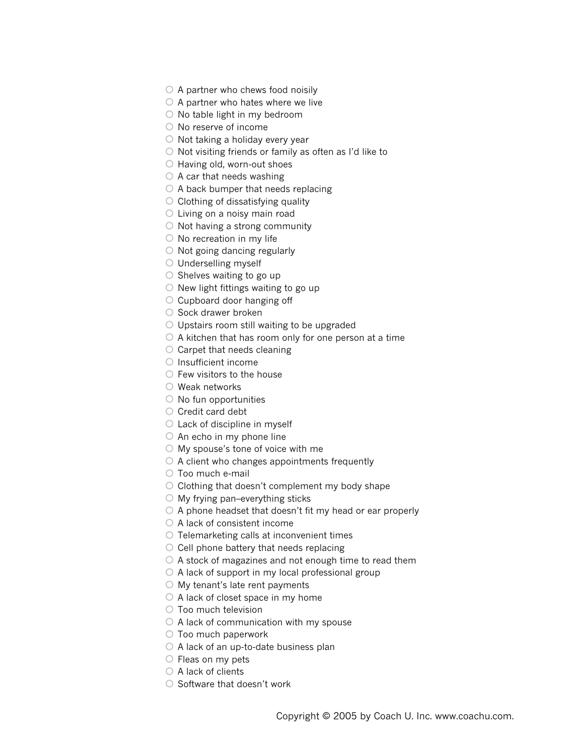- $\circ$  A partner who chews food noisily
- $\bigcirc$  A partner who hates where we live
- $\circ$  No table light in my bedroom
- $\bigcirc$  No reserve of income
- $\circ$  Not taking a holiday every year
- $\circ$  Not visiting friends or family as often as I'd like to
- $\circ$  Having old, worn-out shoes
- $\bigcirc$  A car that needs washing
- $\circ$  A back bumper that needs replacing
- $\circ$  Clothing of dissatisfying quality
- Living on a noisy main road
- $\circ$  Not having a strong community
- $\circ$  No recreation in my life
- $\bigcirc$  Not going dancing regularly
- $\circ$  Underselling myself
- $\circ$  Shelves waiting to go up
- $\circ$  New light fittings waiting to go up
- $\circ$  Cupboard door hanging off
- $\circ$  Sock drawer broken
- $\circ$  Upstairs room still waiting to be upgraded
- $\circ$  A kitchen that has room only for one person at a time
- $\circ$  Carpet that needs cleaning
- $\circ$  Insufficient income
- $\circ$  Few visitors to the house
- Weak networks
- $\circ$  No fun opportunities
- $\circ$  Credit card debt
- Lack of discipline in myself
- $\circ$  An echo in my phone line
- $\circ$  My spouse's tone of voice with me
- $\circ$  A client who changes appointments frequently
- Too much e-mail
- $\circ$  Clothing that doesn't complement my body shape
- $\circ$  My frying pan–everything sticks
- $\circ$  A phone headset that doesn't fit my head or ear properly
- $\circ$  A lack of consistent income
- $\circ$  Telemarketing calls at inconvenient times
- $\circ$  Cell phone battery that needs replacing
- $\circ$  A stock of magazines and not enough time to read them
- $\circ$  A lack of support in my local professional group
- $\circ$  My tenant's late rent payments
- $\bigcirc$  A lack of closet space in my home
- Too much television
- $\circ$  A lack of communication with my spouse
- Too much paperwork
- $\circ$  A lack of an up-to-date business plan
- $\circ$  Fleas on my pets
- $\bigcirc$  A lack of clients
- $\bigcirc$  Software that doesn't work